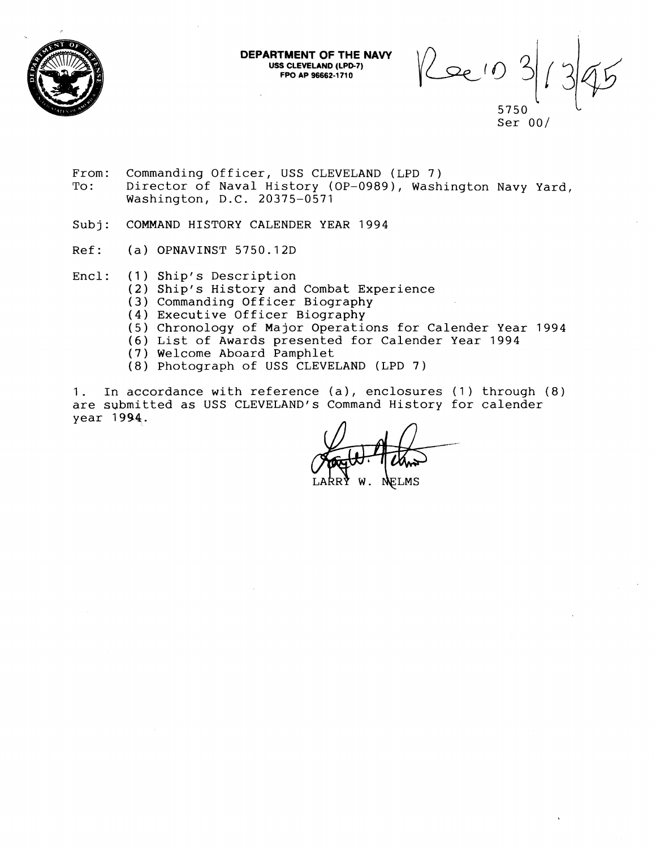

**DEPARTMENT OF THE NAVY USS CLEVELAND (LPD-7) FPO AP 96662-1 71 0** 

 $\int$ 

5750 Ser  $00/$ 

- From: Commanding Officer, USS CLEVELAND (LPD 7)<br>To: Director of Naval History (OP-0989), Wash Director of Naval History (OP-0989), Washington Navy Yard, Washington, D.C. 20375-0571
- Subj: COMMAND HISTORY CALENDER YEAR 1994
- Ref: (a) OPNAVINST 5750.12D
- Encl: (1) Ship's Description
	- (2) Ship's History and Combat Experience
		- **(3**  Commanding Officer Biography
		- (4) Executive Officer Biography
		- (5) Chronology of Major Operations for Calender Year 1994
	- (6 List of Awards presented for Calender Year 1994
	- (7) Welcome Aboard Pamphlet
	- (8) Photograph of USS CLEVELAND (LPD 7)

1. In accordance with reference (a), enclosures (1) through (8) are submitted as USS CLEVELAND'S Command History for calender year 1994.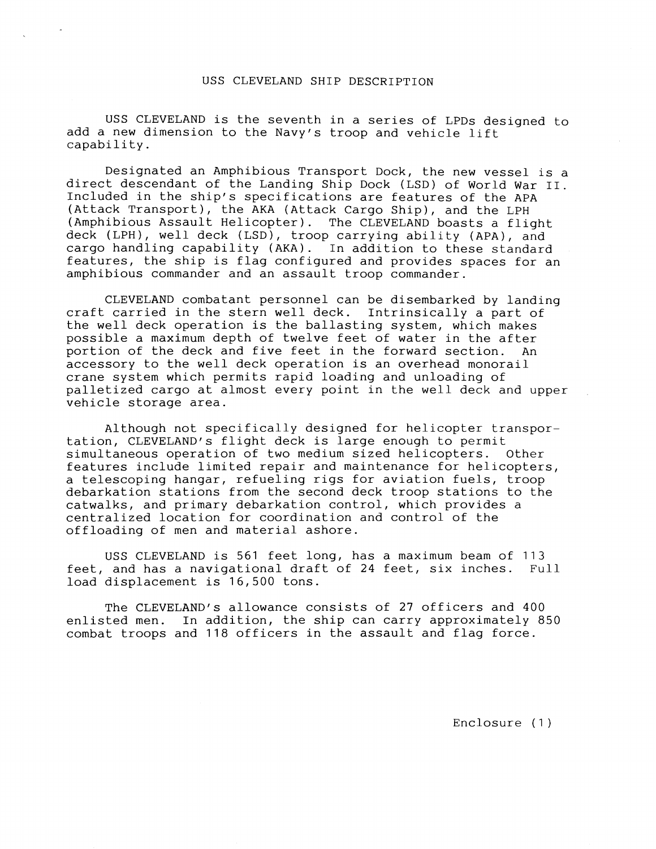#### USS CLEVELAND SHIP DESCRIPTION

USS CLEVELAND is the seventh in a series of LPDs designed to add a new dimension to the Navy's troop and vehicle lift capability.

Designated an Amphibious Transport Dock, the new vessel is a direct descendant of the Landing Ship Dock (LSD) of World War 11. Included in the ship's specifications are features of the APA (Attack Transport), the AKA (Attack Cargo Ship), and the LPH (Amphibious Assault Helicopter). The CLEVELAND boasts a flight deck (LPH), well deck (LSD), troop carrying ability (APA), and cargo handling capability (AKA). In addition to these standard features, the ship is flag configured and provides spaces for an amphibious commander and an assault troop commander.

CLEVELAND combatant personnel can be disembarked by landing craft carried in the stern well deck. Intrinsically a part of the well deck operation is the ballasting system, which makes possible a maximum depth of twelve feet of water in the after portion of the deck and five feet in the forward section. An accessory to the well deck operation is an overhead monorail crane system which permits rapid loading and unloading of palletized cargo at almost every point in the well deck and upper vehicle storage area.

Although not specifically designed for helicopter transportation, CLEVELAND'S flight deck is large enough to permit simultaneous operation of two medium sized helicopters. Other features include limited repair and maintenance for helicopters, a telescoping hangar, refueling rigs for aviation fuels, troop debarkation stations from the second deck troop stations to the catwalks, and primary debarkation control, which provides a centralized location for coordination and control of the offloading of men and material ashore.

USS CLEVELAND is 561 feet long, has a maximum beam of 113 feet, and has a navigational draft of 24 feet, six inches. Full load displacement is 16,500 tons.

The CLEVELAND'S allowance consists of 27 officers and 400 enlisted men. In addition, the ship can carry approximately 850 combat troops and 118 officers in the assault and flag force.

Enclosure (1 )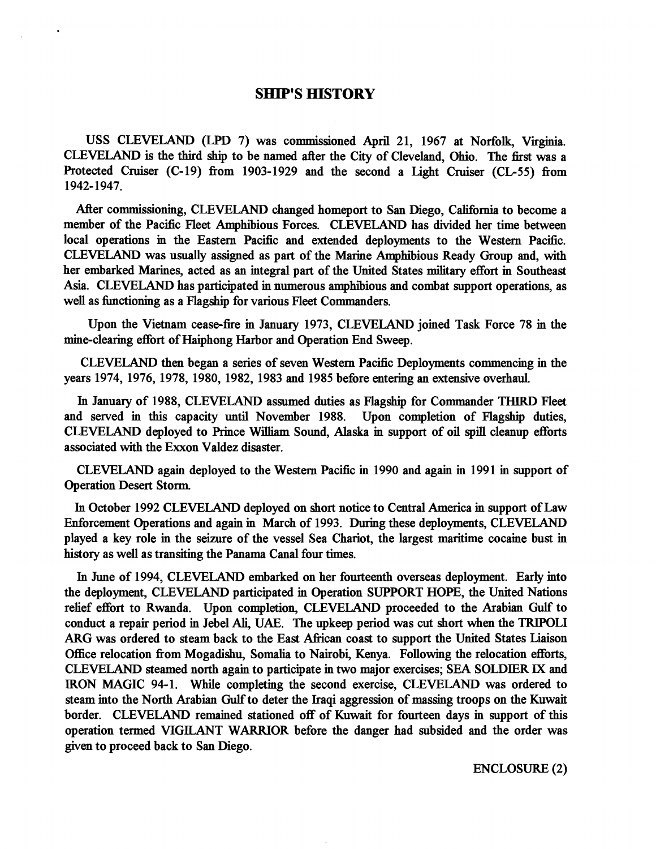# **SHIP'S HISTORY**

USS CLEVELAND (LPD 7) was commissioned April 21, 1967 at Norfolk, Virginia. CLEVELAND is the third ship to be named after the City of Cleveland, Ohio. The first was a Protected Cruiser (C-19) from 1903-1929 and the second a Light Cruiser (CL-55) from 1942- 1947.

After commissioning, CLEVELAND changed homeport to San Diego, California to become a member of the Pacific Fleet Amphibious Forces. CLEVELAND has divided her time between local operations in the Eastern Pacific and extended deployments to the Western Pacific. CLEVELAND was usually assigned as part of the Marine Amphibious Ready Group and, with her embarked Marines, acted as an integral part of the United States military effort in Southeast Asia. CLEVELAND has participated in numerous amphibious and combat support operations, as well as functioning as a Flagship for various Fleet Commanders.

Upon the Vietnam cease-fire in January 1973, CLEVELAND joined Task Force 78 in the mine-clearing effort of Haiphong Harbor and Operation End Sweep.

CLEVELAND then began a series of seven Western Pacific Deployments commencing in the years 1974, 1976, 1978, 1980, 1982, 1983 and 1985 before entering an extensive overhaul.

In January of 1988, CLEVELAND assumed duties as Flagship for Commander THIRD Fleet and served in this capacity until November 1988. Upon completion of Flagship duties, CLEVELAND deployed to Prince William Sound, Alaska in support of oil spill cleanup efforts associated with the Exxon Valdez disaster.

CLEVELAND again deployed to the Western Pacific in 1990 and again in 1991 in support of Operation Desert Storm.

In October 1992 CLEVELAND deployed on short notice to Central America in support of Law Enforcement Operations and again in March of 1993. During these deployments, CLEVELAND played a key role in the seizure of the vessel Sea Chariot, the largest maritime cocaine bust in history as well as transiting the Panama Canal four times.

In June of 1994, CLEVELAND embarked on her fourteenth overseas deployment. Early into the deployment, CLEVELAND participated in Operation SUPPORT HOPE, the United Nations relief effort to Rwanda. Upon completion, CLEVELAND proceeded to the Arabian Gulf to conduct a repair period in Jebel Ali, UAE. The upkeep period was cut short when the TRIPOLI **ARG** was ordered to steam back to the East Afiican coast to support the United States Liaison Office relocation fiom Mogadishu, Somalia to Nairobi, Kenya. Following the relocation efforts, CLEVELAND steamed north again to participate in two major exercises; SEA SOLDIER **IX** and IRON MAGIC 94-1. While completing the second exercise, CLEVELAND was ordered to steam into the North Arabian **Gulf** to deter the Iraqi aggression of massing troops on the Kuwait border. CLEVELAND remained stationed off of Kuwait for fourteen days in support of this operation termed VIGILANT WARRIOR before the danger had subsided and the order was given to proceed back to San Diego.

ENCLOSURE (2)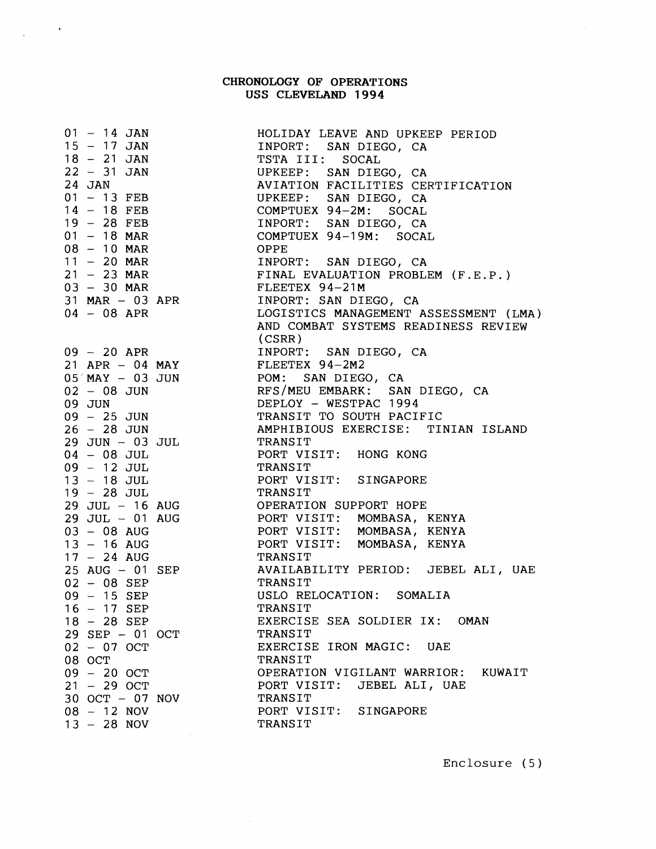### **CHRONOLOGY OF OPERATIONS USS CLEVELAND 1994**

 $01 - 14$  JAN <sup>15</sup>- 17 JAN  $18 - 21$  JAN <sup>22</sup>- 31 JAN 24 JAN 24 JAN<br>01 - 13 FEB 01 – 13 FEB<br>14 – 18 FEB 14 – 18 FEB<br>19 – 28 FEB 19 - 28 FEB<br>01 - 18 MAR 01 - 18 MAR<br>08 - 10 MAR 08 - 10 MAR<br>11 - 20 MAR 11 - 20 MAR<br>21 - 23 MAR  $21 - 23$  MAR<br> $03 - 30$  MAR  $31$  MAR  $-$  03 APR 04 - 08 APR <sup>09</sup>- 20 APR 21 APR - 04 MAY  $05'$  MAY  $-$  03 JUN <sup>02</sup>- 08 JUN 09 JUN <sup>09</sup>- 25 JUN <sup>26</sup>- 28 JUN  $29$  JUN  $-$  03 JUL 04 - 08 JUL <sup>09</sup>- 12 JUL <sup>13</sup>- 18 JUL 13 – 18 JUL<br>19 – 28 JUL 29 JUL - 16 AUG 29 JUL - 01 AUG <sup>03</sup>- 08 AUG <sup>13</sup>- 16 AUG <sup>17</sup>- 24 AUG 25 AUG - 01 SEP 02 - 08 SEP <sup>09</sup>- 15 SEP <sup>16</sup>- 17 SEP <sup>18</sup>- 28 SEP 29 SEP - 01 OCT 02 - 07 OCT 08 OCT 08 OCT<br>09 – <mark>20</mark> OCT 09 – 20 OCT<br>21 – 29 OCT 30 OCT - 07 NOV <sup>08</sup>- 12 NOV  $13 - 28$  NOV

HOLIDAY LEAVE AND UPKEEP PERIOD INPORT: SAN DIEGO, CA TSTA 111: SOCAL UPKEEP: SAN DIEGO, CA AVIATION FACILITIES CERTIFICATION UPKEEP: SAN DIEGO, CA COMPTUEX 94-2M: SOCAL INPORT: SAN DIEGO, CA COMPTUEX 94-19M: SOCAL OPPE INPORT: SAN DIEGO, CA FINAL EVALUATION PROBLEM (F.E.P.) FLEETEX 94-21M INPORT: SAN DIEGO, CA LOGISTICS MANAGEMENT ASSESSMENT (LMA) AND COMBAT SYSTEMS READINESS REVIEW (CSRR) INPORT: SAN DIEGO, CA FLEETEX 94-2M2 POM: SAN DIEGO, CA RFS/MEU EMBARK: SAN DIEGO, CA DEPLOY - WESTPAC 1994 TRANSIT TO SOUTH PACIFIC AMPHIBIOUS EXERCISE: TINIAN ISLAND TRANSIT PORT VISIT: HONG KONG TRANS IT PORT VISIT: SINGAPORE TRANSIT OPERATION SUPPORT HOPE PORT VISIT: MOMBASA, KENYA PORT VISIT: MOMBASA, KENYA PORT VISIT: MOMBASA, KENYA TRANSIT AVAILABILITY PERIOD: JEBEL ALI, UAE TRANSIT USLO RELOCATION: SOMALIA TRANSIT EXERCISE SEA SOLDIER IX: OMAN TRANS IT EXERCISE IRON MAGIC: UAE TRANS IT OPERATION VIGILANT WARRIOR: KUWAIT PORT VISIT: JEBEL ALI, UAE TRANS IT PORT VISIT: SINGAPORE TRANSIT

Enclosure ( 5 )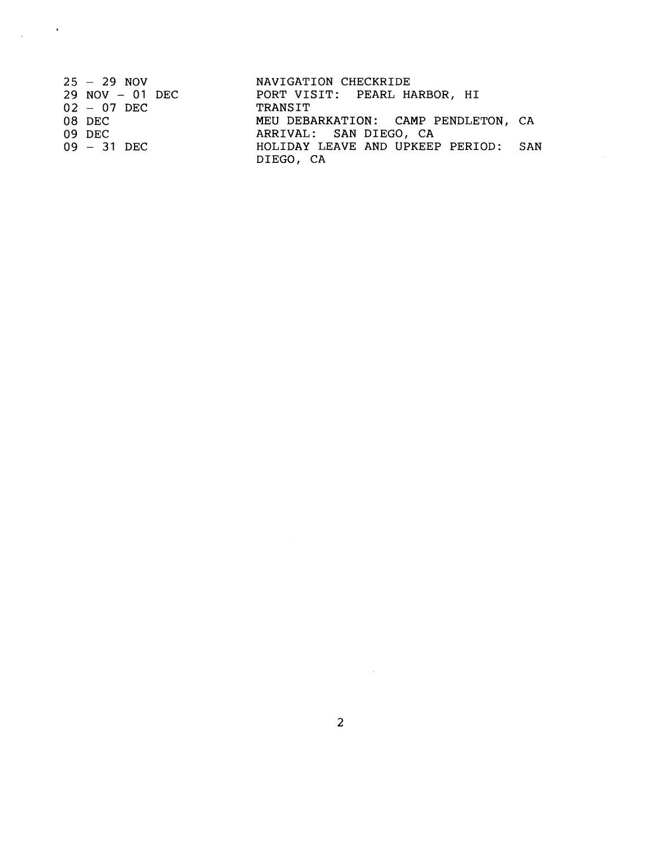| $25 - 29$ NOV       | NAVIGATION CHECKRIDE                 |  |
|---------------------|--------------------------------------|--|
| $29$ NOV $-$ 01 DEC | PORT VISIT: PEARL HARBOR, HI         |  |
| $02 - 07$ DEC       | TRANSIT                              |  |
| 08 DEC              | MEU DEBARKATION: CAMP PENDLETON, CA  |  |
| 09 DEC              | ARRIVAL: SAN DIEGO, CA               |  |
| $09 - 31$ DEC       | HOLIDAY LEAVE AND UPKEEP PERIOD: SAN |  |
|                     | DIEGO, CA                            |  |

 $\label{eq:2.1} \frac{1}{\sqrt{2}}\int_{\mathbb{R}^{2}}\frac{1}{\sqrt{2}}\left(\frac{1}{\sqrt{2}}\right)^{2}d\theta\left(\frac{1}{\sqrt{2}}\right).$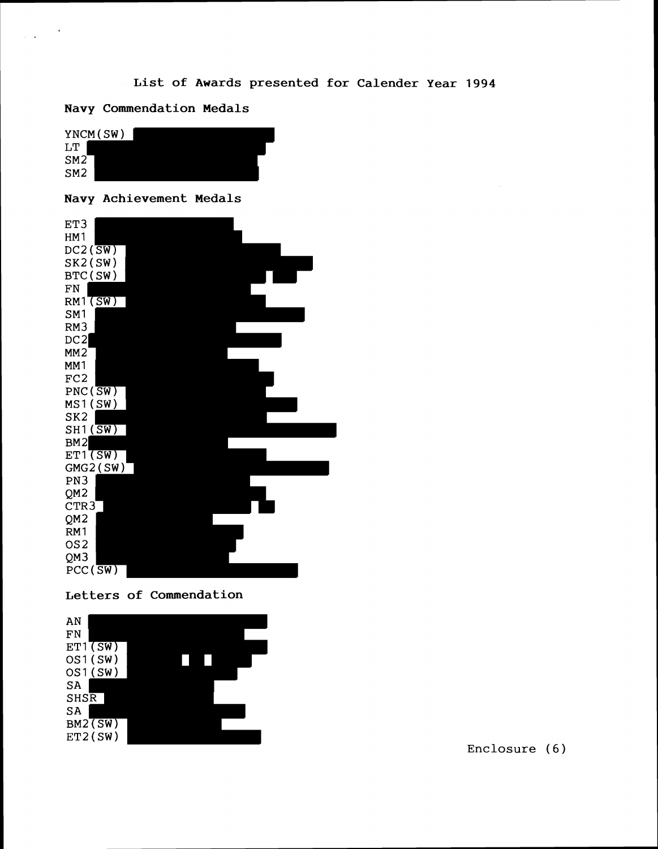# **List of Awards presented for Calender Year 1994**

**Navy Commendation Medals** 

 $\mathbf{r}$ 



### **Navy Achievement Medals**







Enclosure (6)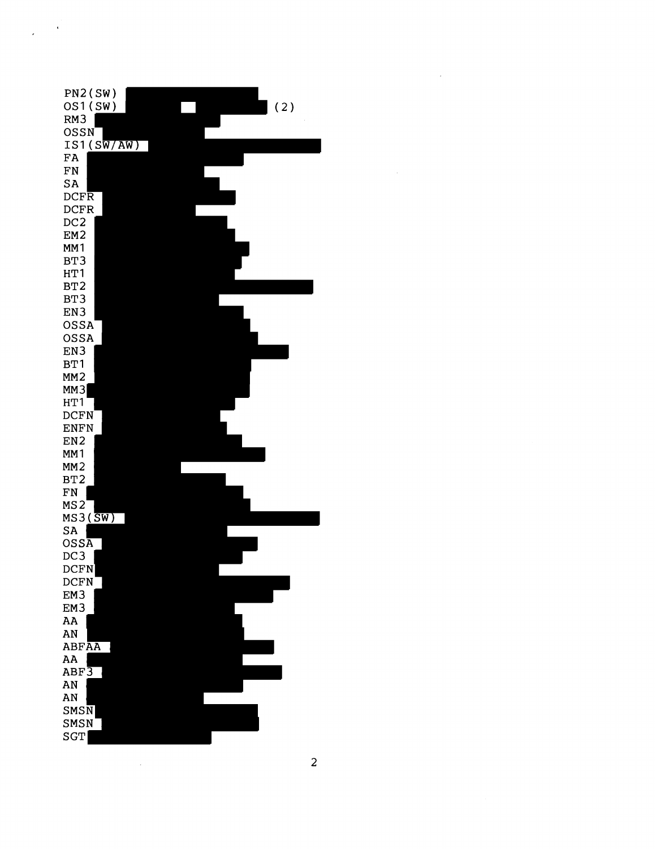

 $\ddot{\phantom{a}}$ 

 $\overline{\phantom{a}}$